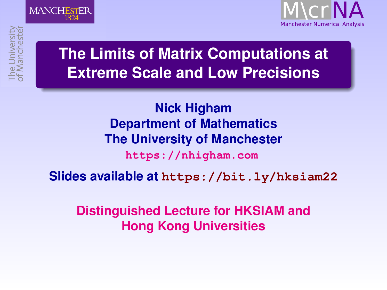

### <span id="page-0-1"></span><span id="page-0-0"></span>**Research Matters [The Lim](http://www.manchester.ac.uk)its of Matrix Computations at**  $\frac{1}{2}$ **Extreme Scale and Low Precisions**

### **Nick Higham [Nick Higham](http://www.maths.manchester.ac.uk/~higham/) [Department of Mathematics](http://www.maths.manchester.ac.uk/)** [The University of Manchester](http://www.man.ac.uk)

**[https://nhigham.com](http://www.maths.manchester.ac.uk/~higham)**

#### **Slides available at <https://bit.ly/hksiam22>**

### **Distinguished Lecture for HKSIAM and Hong Kong Universities**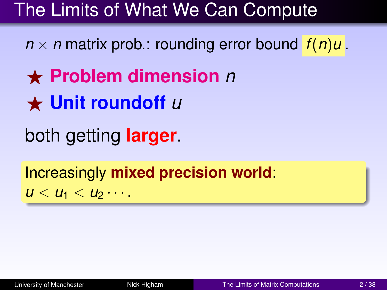# The Limits of What We Can Compute

 $n \times n$  matrix prob.: rounding error bound  $f(n)u$ .

- ⋆ **Problem dimension** *n*
- ⋆ **Unit roundoff** *u*

both getting **larger**.

Increasingly **mixed precision world**:  $u < u_1 < u_2 \cdots$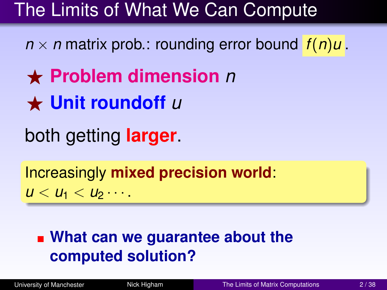# The Limits of What We Can Compute

 $n \times n$  matrix prob.: rounding error bound  $f(n)u$ .

⋆ **Problem dimension** *n*

⋆ **Unit roundoff** *u*

both getting **larger**.

Increasingly **mixed precision world**:  $u < u_1 < u_2 \cdots$ 

### **What can we guarantee about the computed solution?**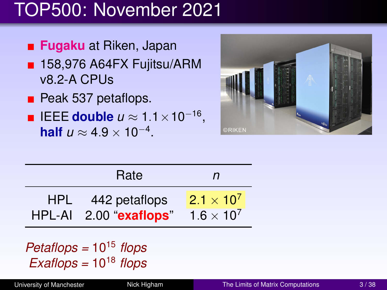# TOP500: November 2021

- **Fugaku** at Riken, Japan
- 158,976 A64FX Fujitsu/ARM v8.2-A CPUs
- **Peak 537 petaflops.**
- IEEE **double** *u* ≈ 1.1×10<sup>−</sup><sup>16</sup> , **half**  $u \approx 4.9 \times 10^{-4}$ .



|            | Rate                                    | n                                          |  |
|------------|-----------------------------------------|--------------------------------------------|--|
| <b>HPL</b> | 442 petaflops<br>HPL-AI 2.00 "exaflops" | $2.1 \times 10^{7}$<br>$1.6 \times 10^{7}$ |  |

*Petaflops =* 10<sup>15</sup> *flops Exaflops =* 10<sup>18</sup> *flops*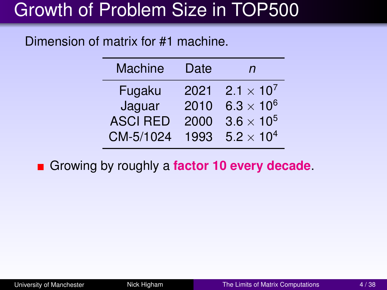# Growth of Problem Size in TOP500

#### Dimension of matrix for #1 machine.

| <b>Machine</b>  | Date | n                   |
|-----------------|------|---------------------|
| Fugaku          | 2021 | $2.1 \times 10^{7}$ |
| Jaguar          | 2010 | $6.3 \times 10^6$   |
| <b>ASCI RED</b> | 2000 | $3.6 \times 10^{5}$ |
| CM-5/1024       | 1993 | $5.2 \times 10^{4}$ |

Growing by roughly a **factor 10 every decade**.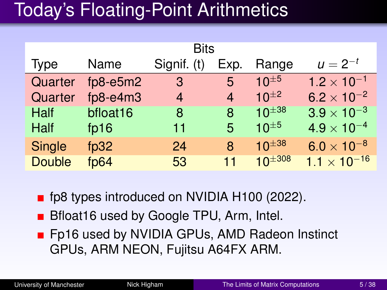# Today's Floating-Point Arithmetics

| <b>Bits</b>   |                   |             |      |                |                       |  |  |  |
|---------------|-------------------|-------------|------|----------------|-----------------------|--|--|--|
| <b>Type</b>   | Name              | Signif. (t) | Exp. | Range          | $u = 2^{-t}$          |  |  |  |
| Quarter       | $fp8 - e5m2$      | 3           | 5    | $10^{\pm 5}$   | $1.2 \times 10^{-1}$  |  |  |  |
| Quarter       | $fp8 - e4m3$      | 4           | 4    | $10^{\pm 2}$   | $6.2 \times 10^{-2}$  |  |  |  |
| Half          | bfloat16          | 8           | 8    | $10^{\pm 38}$  | $3.9 \times 10^{-3}$  |  |  |  |
| Half          | fp16              | 11          | 5    | $10^{\pm 5}$   | $4.9 \times 10^{-4}$  |  |  |  |
| <b>Single</b> | fp $32$           | 24          | 8    | $10^{\pm 38}$  | $6.0 \times 10^{-8}$  |  |  |  |
| <b>Double</b> | f <sub>D</sub> 64 | 53          | 11   | $10^{\pm 308}$ | $1.1 \times 10^{-16}$ |  |  |  |

■ fp8 types introduced on NVIDIA H100 (2022).

- **B** Bfloat16 used by Google TPU, Arm, Intel.
- **F** Fp16 used by NVIDIA GPUs, AMD Radeon Instinct GPUs, ARM NEON, Fujitsu A64FX ARM.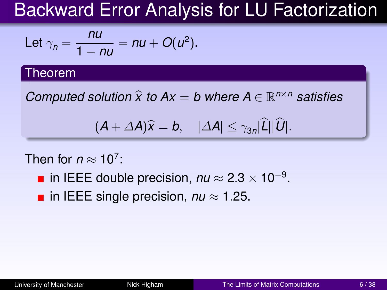# Backward Error Analysis for LU Factorization

Let 
$$
\gamma_n = \frac{nu}{1 - nu} = nu + O(u^2)
$$
.

#### Theorem

*Computed solution*  $\hat{x}$  to  $Ax = b$  where  $A \in \mathbb{R}^{n \times n}$  satisfies

$$
(A + \Delta A)\widehat{x} = b, \quad |\Delta A| \leq \gamma_{3n} |\widehat{L}| |\widehat{U}|.
$$

#### Then for  $n \approx 10^7$ :

- in IEEE double precision,  $nu \approx 2.3 \times 10^{-9}$ .
- $\blacksquare$  in IEEE single precision, *nu* ≈ 1.25.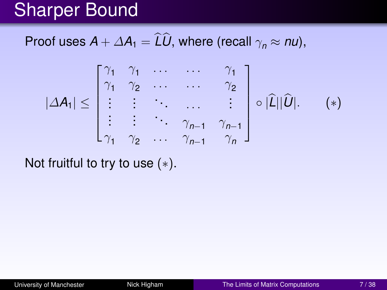## Sharper Bound

Proof uses  $A + \Delta A_1 = \widehat{L}\widehat{U}$ , where (recall  $\gamma_n \approx n\mu$ ),

$$
|\Delta A_1| \leq \begin{bmatrix} \gamma_1 & \gamma_1 & \dots & \dots & \gamma_1 \\ \gamma_1 & \gamma_2 & \dots & \dots & \gamma_2 \\ \vdots & \vdots & \ddots & \dots & \vdots \\ \vdots & \vdots & \ddots & \gamma_{n-1} & \gamma_{n-1} \\ \gamma_1 & \gamma_2 & \dots & \gamma_{n-1} & \gamma_n \end{bmatrix} \circ |\widehat{L}||\widehat{U}|. \quad (*)
$$

Not fruitful to try to use  $(*)$ .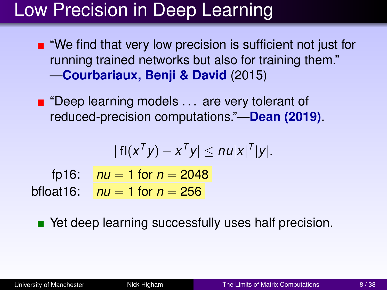# Low Precision in Deep Learning

- $\blacksquare$  "We find that very low precision is sufficient not just for running trained networks but also for training them." —**Courbariaux, Benji & David** (2015)
- $\blacksquare$  "Deep learning models ... are very tolerant of reduced-precision computations."—**Dean (2019)**.

$$
|f|(x^{\mathsf{T}}y)-x^{\mathsf{T}}y|\leq nu|x|^{\mathsf{T}}|y|.
$$

fp16:  $nu = 1$  for  $n = 2048$ bfloat 16:  $nu = 1$  for  $n = 256$ 

■ Yet deep learning successfully uses half precision.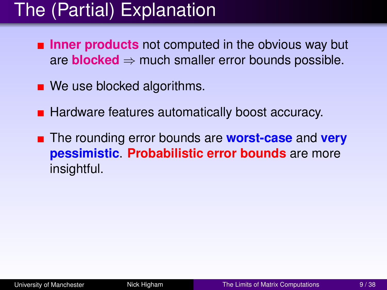# The (Partial) Explanation

- **Inner products** not computed in the obvious way but are **blocked**  $\Rightarrow$  much smaller error bounds possible.
- We use blocked algorithms.
- **Hardware features automatically boost accuracy.**
- The rounding error bounds are **worst-case** and **very pessimistic**. **Probabilistic error bounds** are more insightful.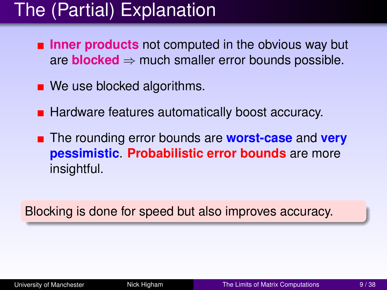# The (Partial) Explanation

- **Inner products** not computed in the obvious way but are **blocked**  $\Rightarrow$  much smaller error bounds possible.
- We use blocked algorithms.
- **Hardware features automatically boost accuracy.**
- The rounding error bounds are **worst-case** and **very pessimistic**. **Probabilistic error bounds** are more insightful.

Blocking is done for speed but also improves accuracy.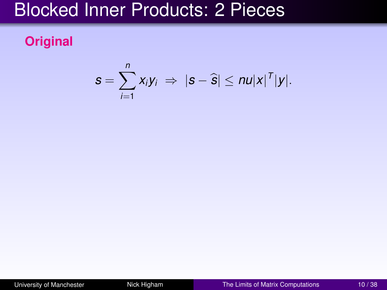## Blocked Inner Products: 2 Pieces

### **Original**

$$
s=\sum_{i=1}^n x_iy_i \Rightarrow |s-\widehat{s}| \leq n u|x|^{\mathsf{T}}|y|.
$$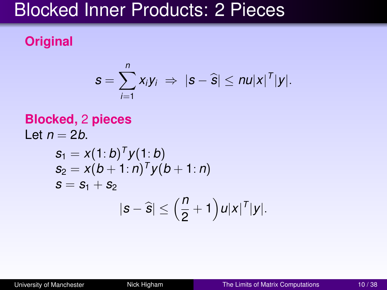### Blocked Inner Products: 2 Pieces

### **Original**

$$
s=\sum_{i=1}^n x_iy_i \Rightarrow |s-\widehat{s}|\leq n u|x|^{\mathsf{T}}|y|.
$$

**Blocked**, 2 pieces  
\nLet 
$$
n = 2b
$$
.  
\n
$$
s_1 = x(1:b)^T y(1:b)
$$
\n
$$
s_2 = x(b + 1:n)^T y(b + 1:n)
$$
\n
$$
s = s_1 + s_2
$$
\n
$$
|s - \hat{s}| \le \left(\frac{n}{2} + 1\right)u|x|^T|y|.
$$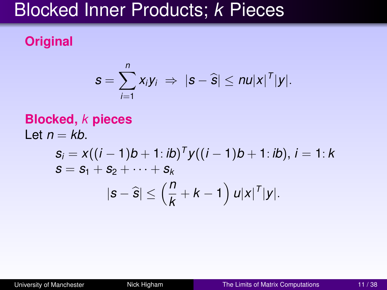### Blocked Inner Products; *k* Pieces

### **Original**

$$
s=\sum_{i=1}^n x_iy_i \Rightarrow |s-\widehat{s}|\leq nu|x|^{\mathsf{T}}|y|.
$$

**Blocked,** *k* **pieces**  
Let 
$$
n = kb
$$
.  

$$
s_i = x((i - 1)b + 1 : ib)^T y((i - 1)b + 1 : ib), i = 1 : k
$$

$$
s = s_1 + s_2 + \dots + s_k
$$

$$
|s - \hat{s}| \le (\frac{n}{k} + k - 1) u|x|^T|y|.
$$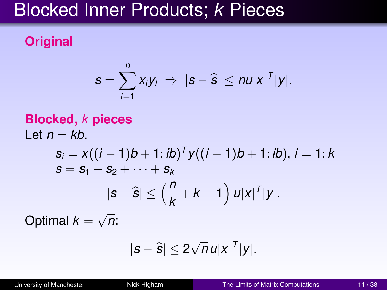## Blocked Inner Products; *k* Pieces

### **Original**

$$
s=\sum_{i=1}^n x_iy_i \Rightarrow |s-\widehat{s}|\leq nu|x|^{\mathsf{T}}|y|.
$$

### **Blocked,** *k* **pieces** Let  $n = kb$ . *s<sup>i</sup>* = *x*((*i* − 1)*b* + 1: *ib*) *<sup>T</sup> y*((*i* − 1)*b* + 1: *ib*), *i* = 1: *k*  $S = S_1 + S_2 + \cdots + S_k$  $|\mathbf{s} - \widehat{\mathbf{s}}| \leq \left(\frac{n}{k}\right)$  $+ k - 1 \right) u|x|^T |y|.$ √

Optimal *k* = *n*:

$$
|s-\hat{s}| \leq 2\sqrt{n}u|x|^T|y|.
$$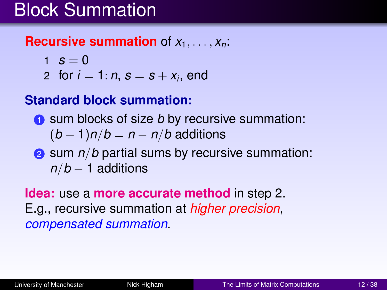## Block Summation

#### **Recursive summation** of  $x_1, \ldots, x_n$ :

- 1  $s = 0$
- 2 for  $i = 1: n$ ,  $s = s + x_i$ , end

### **Standard block summation:**

- **1** sum blocks of size *b* by recursive summation:  $(b-1)n/b = n - n/b$  additions
- 2 sum *n/b* partial sums by recursive summation: *n*/*b* − 1 additions

**Idea:** use a **more accurate method** in step 2. E.g., recursive summation at *higher precision*, *compensated summation*.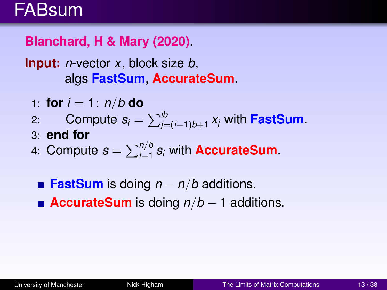## FABsum

**Blanchard, H & Mary (2020)**.

**Input:** *n*-vector *x*, block size *b*, algs **FastSum**, **AccurateSum**.

- 1: **for**  $i = 1$ :  $n/b$  **do**
- 2: Compute  $s_i = \sum_{j=(i-1)b+1}^{ib} x_j$  with **FastSum**.
- 3: **end for**
- 4: Compute  $s = \sum_{i=1}^{n/b} s_i$  with **AccurateSum**.
- **FastSum** is doing *n* − *n*/*b* additions. ■ **AccurateSum** is doing  $n/b - 1$  additions.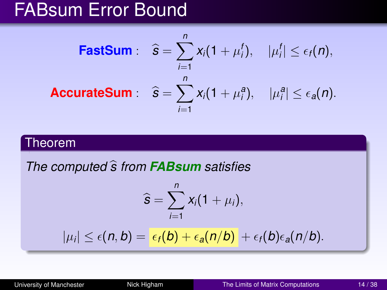## FABsum Error Bound

**FastSum**: 
$$
\widehat{\mathbf{s}} = \sum_{i=1}^{n} x_i (1 + \mu_i^t), \quad |\mu_i^t| \le \epsilon_t(n),
$$

\n**AccurateSum**: 
$$
\widehat{\mathbf{s}} = \sum_{i=1}^{n} x_i (1 + \mu_i^a), \quad |\mu_i^a| \le \epsilon_a(n).
$$

#### Theorem

*The computed* <sup>b</sup>*s from FABsum satisfies*

$$
\widehat{s}=\sum_{i=1}^n x_i(1+\mu_i),
$$

 $|\mu_i| \leq \epsilon(n,b) = \epsilon_f(b) + \epsilon_a(n/b) + \epsilon_f(b)\epsilon_a(n/b).$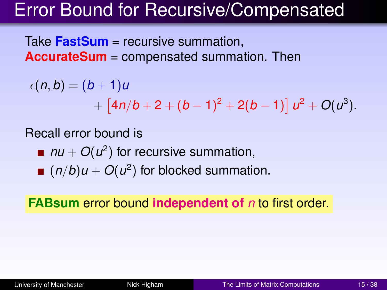## Error Bound for Recursive/Compensated

Take **FastSum** = recursive summation, **AccurateSum** = compensated summation. Then

$$
\epsilon(n,b) = (b+1)u + [4n/b+2+(b-1)^2+2(b-1)] u^2 + O(u^3).
$$

Recall error bound is

- $nu + O(u^2)$  for recursive summation,
- $(n/b)u + O(u^2)$  for blocked summation.

**FABsum** error bound **independent of** *n* to first order.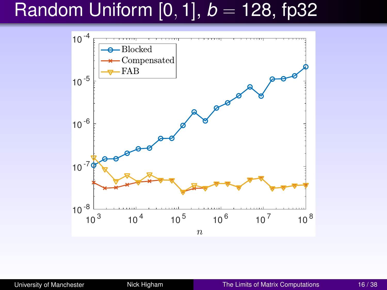# Random Uniform [0, 1], *b* = 128, fp32

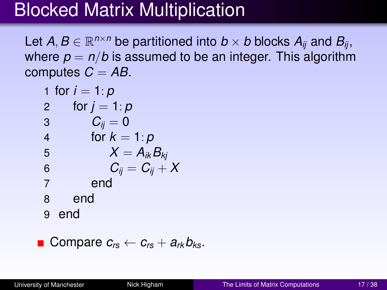# Blocked Matrix Multiplication

Let  $A, B \in \mathbb{R}^{n \times n}$  be partitioned into  $b \times b$  blocks  $A_{ij}$  and  $B_{ij}$ , where  $p = n/b$  is assumed to be an integer. This algorithm computes  $C = AB$ .

| 1 for $i = 1: p$        |
|-------------------------|
| 2 for $j = 1: p$        |
| 3 $C_{ij} = 0$          |
| 4 for $k = 1: p$        |
| 5 $X = A_{ik}B_{kj}$    |
| 6 $C_{ij} = C_{ij} + X$ |
| 7 end                   |
| 8 end                   |
| 9 end                   |

■ Compare 
$$
c_{rs} \leftarrow c_{rs} + a_{rk}b_{ks}
$$
.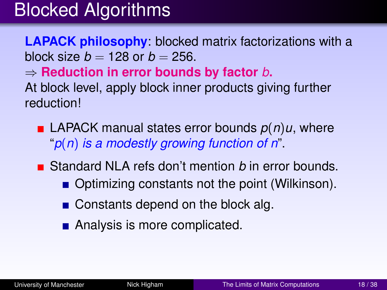# Blocked Algorithms

**LAPACK philosophy**: blocked matrix factorizations with a block size  $b = 128$  or  $b = 256$ .

⇒ **Reduction in error bounds by factor** *b***.**

At block level, apply block inner products giving further reduction!

- LAPACK manual states error bounds  $p(n)u$ , where "*p*(*n*) *is a modestly growing function of n*".
- Standard NLA refs don't mention *b* in error bounds.
	- $\blacksquare$  Optimizing constants not the point (Wilkinson).
	- $\blacksquare$  Constants depend on the block alg.
	- Analysis is more complicated.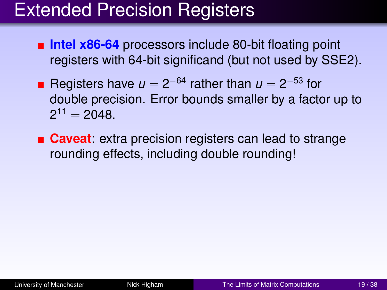# Extended Precision Registers

- **Intel x86-64** processors include 80-bit floating point registers with 64-bit significand (but not used by SSE2).
- Registers have  $u = 2^{-64}$  rather than  $u = 2^{-53}$  for double precision. Error bounds smaller by a factor up to  $2^{11} = 2048.$

**Caveat:** extra precision registers can lead to strange rounding effects, including double rounding!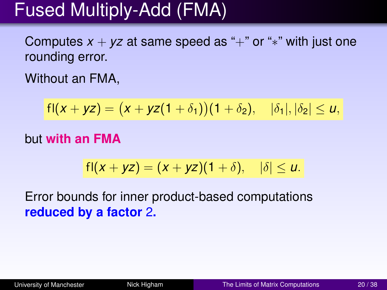# Fused Multiply-Add (FMA)

Computes  $x + yz$  at same speed as "+" or "\*" with just one rounding error.

Without an FMA,

$$
fl(x + yz) = (x + yz(1 + \delta_1))(1 + \delta_2), \quad |\delta_1|, |\delta_2| \le u,
$$

#### but **with an FMA**

$$
fl(x + yz) = (x + yz)(1 + \delta), \quad |\delta| \leq u.
$$

Error bounds for inner product-based computations **reduced by a factor** 2**.**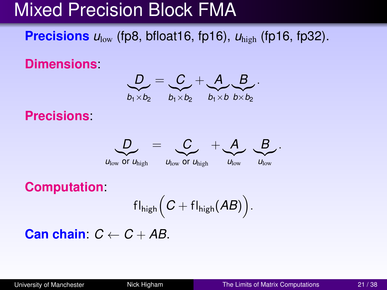# Mixed Precision Block FMA

**Precisions**  $u_{\text{low}}$  (fp8, bfloat16, fp16),  $u_{\text{high}}$  (fp16, fp32).

**Dimensions**:



**Precisions**:



**Computation**:

$$
\mathsf{fl}_{\mathsf{high}}\Big(\textit{C}+\mathsf{fl}_{\mathsf{high}}(\textit{AB})\Big).
$$

**Can chain:**  $C \leftarrow C + AB$ .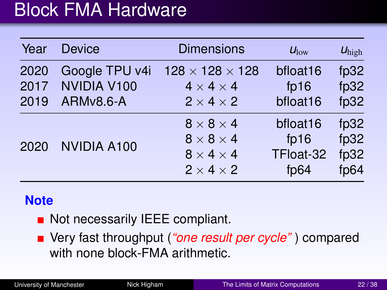## Block FMA Hardware

| <b>Device</b>      | <b>Dimensions</b>           | $U_{\text{low}}$ | $U_{\text{high}}$ |
|--------------------|-----------------------------|------------------|-------------------|
| Google TPU v4i     | $128 \times 128 \times 128$ | bfloat16         | fp32              |
|                    | $4 \times 4 \times 4$       | fp $16$          | fp32              |
|                    | $2 \times 4 \times 2$       | bfloat16         | fp32              |
| <b>NVIDIA A100</b> | $8 \times 8 \times 4$       | bfloat16         | fp32              |
|                    | $8 \times 8 \times 4$       | fp16             | fp32              |
|                    | $8 \times 4 \times 4$       | TFloat-32        | fp32              |
|                    | $2 \times 4 \times 2$       | fp $64$          | fp $64$           |
|                    | NVIDIA V100<br>ARMv8.6-A    |                  |                   |

#### **Note**

- Not necessarily IEEE compliant.
- Very fast throughput (*"one result per cycle"* ) compared with none block-FMA arithmetic.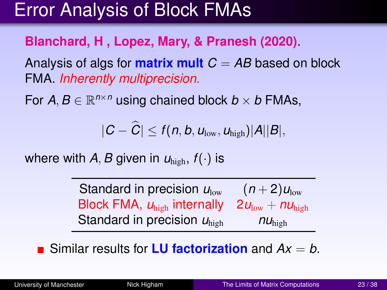# Error Analysis of Block FMAs

#### **Blanchard, H , Lopez, Mary, & Pranesh (2020)**.

Analysis of algs for **matrix mult**  $C = AB$  based on block FMA. *Inherently multiprecision.*

For  $A, B \in \mathbb{R}^{n \times n}$  using chained block  $b \times b$  FMAs,

$$
|C-\widehat{C}|\leq f(n, b, u_{\text{low}}, u_{\text{high}})|A||B|,
$$

where with *A*, *B* given in  $U_{\text{high}}$ ,  $f(.)$  is

Standard in precision  $u_{\text{low}}$   $(n+2)u_{\text{low}}$ Block FMA, *u*high internally 2*u*low + *nu*high Standard in precision *u*high *nu*high

■ Similar results for **LU factorization** and  $Ax = b$ .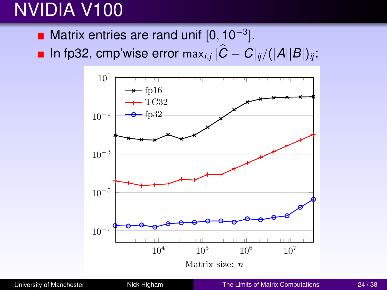# NVIDIA V100

- Matrix entries are rand unif  $[0, 10^{-3}]$ .
- $\ln \text{fp32,}$  cmp'wise error max $_{i,j}$   $|C C|_{ij}/(|A||B|)_{ij}$ :

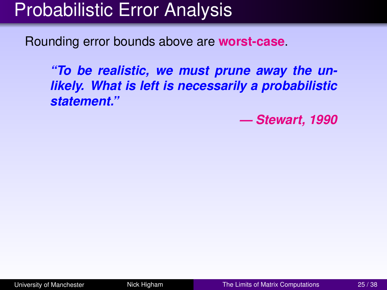# Probabilistic Error Analysis

Rounding error bounds above are **worst-case**.

*"To be realistic, we must prune away the unlikely. What is left is necessarily a probabilistic statement."*

*— Stewart, 1990*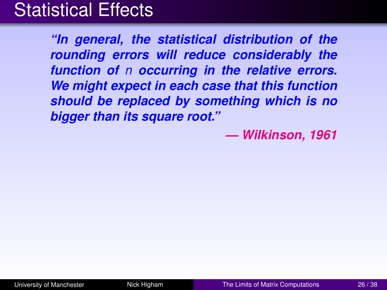## Statistical Effects

*"In general, the statistical distribution of the rounding errors will reduce considerably the function of n occurring in the relative errors. We might expect in each case that this function should be replaced by something which is no bigger than its square root."*

*— Wilkinson, 1961*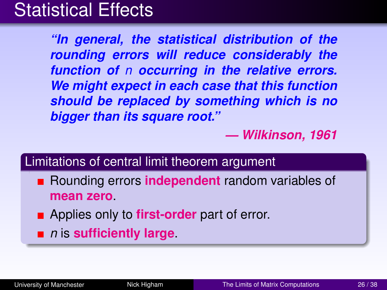## Statistical Effects

*"In general, the statistical distribution of the rounding errors will reduce considerably the function of n occurring in the relative errors. We might expect in each case that this function should be replaced by something which is no bigger than its square root."*

*— Wilkinson, 1961*

#### Limitations of central limit theorem argument

- **EXECUTE:** Rounding errors **independent** random variables of **mean zero**.
- **Applies only to first-order** part of error.
- *n* is **sufficiently large**.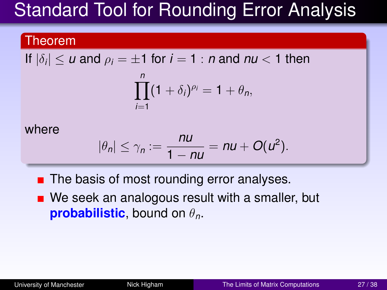# Standard Tool for Rounding Error Analysis

#### Theorem

If 
$$
|\delta_i| \le u
$$
 and  $\rho_i = \pm 1$  for  $i = 1 : n$  and  $nu < 1$  then

$$
\prod_{i=1}^n (1+\delta_i)^{\rho_i}=1+\theta_n,
$$

where

$$
|\theta_n|\leq \gamma_n:=\frac{nu}{1-nu}=nu+O(u^2).
$$

- $\blacksquare$  The basis of most rounding error analyses.
- We seek an analogous result with a smaller, but **probabilistic**, bound on  $\theta_n$ .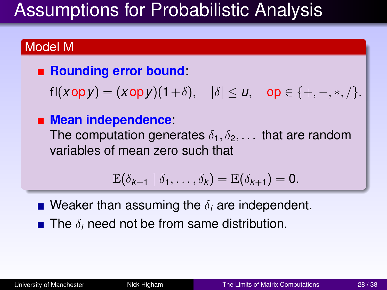# Assumptions for Probabilistic Analysis

### Model M

#### ■ Rounding error bound:

 $f(x \circ p y) = (x \circ p y)(1+\delta), \quad |\delta| \le u, \quad \text{op} \in \{+, -, *, /\}.$ 

#### **Mean independence**:

The computation generates  $\delta_1, \delta_2, \ldots$  that are random variables of mean zero such that

$$
\mathbb{E}(\delta_{k+1} | \delta_1,\ldots,\delta_k) = \mathbb{E}(\delta_{k+1}) = 0.
$$

**N** Weaker than assuming the  $\delta_i$  are independent.

 $\blacksquare$  The  $\delta_i$  need not be from same distribution.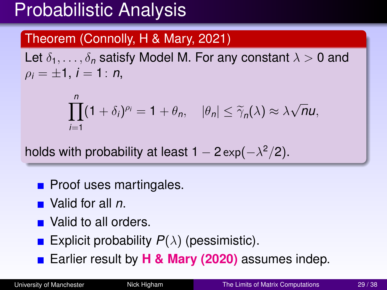# Probabilistic Analysis

### Theorem (Connolly, H & Mary, 2021)

Let  $\delta_1, \ldots, \delta_n$  satisfy Model M. For any constant  $\lambda > 0$  and  $\rho_i = \pm 1, i = 1: n$ 

$$
\prod_{i=1}^n (1+\delta_i)^{\rho_i}=1+\theta_n, \quad |\theta_n|\leq \widetilde{\gamma}_n(\lambda)\approx \lambda\sqrt{n}u,
$$

holds with probability at least 1 – 2  $\exp(-\lambda^2/2)$ .

- $\blacksquare$  Proof uses martingales.
- Valid for all *n*.
- Valid to all orders.
- **Explicit probability**  $P(\lambda)$  **(pessimistic).**
- Earlier result by **H & Mary (2020)** assumes indep.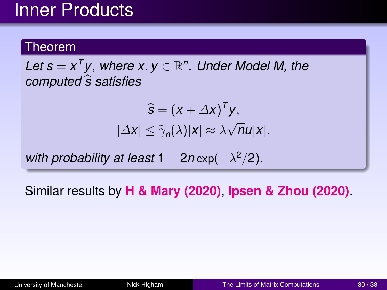## Inner Products

#### Theorem

Let  $s = x^T y$ , where  $x, y \in \mathbb{R}^n$ . Under Model M, the *computed*  $\hat{s}$  satisfies

$$
\widehat{\mathbf{s}} = (\mathbf{x} + \Delta \mathbf{x})^T \mathbf{y},
$$
  

$$
|\Delta \mathbf{x}| \leq \widetilde{\gamma}_n(\lambda) |\mathbf{x}| \approx \lambda \sqrt{n} \mathbf{u} |\mathbf{x}|,
$$

*with probability at least*  $1 - 2n \exp(-\lambda^2/2)$ *.* 

Similar results by **H & Mary (2020)**, **Ipsen & Zhou (2020)**.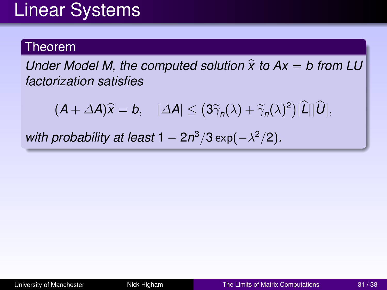## Linear Systems

#### Theorem

*Under Model M, the computed solution*  $\hat{x}$  to  $Ax = b$  from LU *factorization satisfies*

 $(A + \Delta A)\hat{x} = b, \quad |\Delta A| \leq (3\tilde{\gamma}_n(\lambda) + \tilde{\gamma}_n(\lambda)^2)|L||U|,$ 

*with probability at least*  $1 - 2n^3/3 \exp(-\lambda^2/2)$ *.*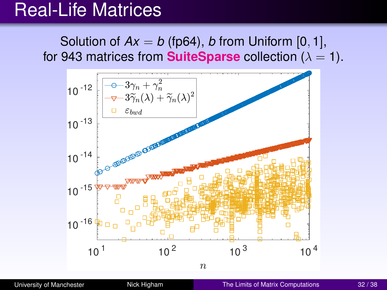## Real-Life Matrices

Solution of  $Ax = b$  (fp64), *b* from Uniform [0, 1], for 943 matrices from **SuiteSparse** collection  $(\lambda = 1)$ .



[University of Manchester](#page-0-0) Nick Higham [The Limits of Matrix Computations](#page-0-1) 32/38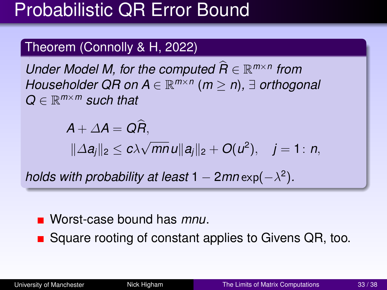# Probabilistic QR Error Bound

### Theorem (Connolly & H, 2022)

*Under Model M, for the computed*  $\widehat{R}$  ∈  $\mathbb{R}^{m \times n}$  *from Householder QR on A* ∈ R *m*×*n* (*m* ≥ *n*)*,* ∃ *orthogonal Q* ∈ R *<sup>m</sup>*×*<sup>m</sup> such that*

$$
A + \Delta A = Q\widehat{R},
$$
  

$$
\|\Delta a_j\|_2 \le c\lambda \sqrt{mn} u \|a_j\|_2 + O(u^2), \quad j = 1: n,
$$

*holds with probability at least*  $1 - 2mn \exp(-\lambda^2)$ .

#### Worst-case bound has *mnu*.

■ Square rooting of constant applies to Givens QR, too.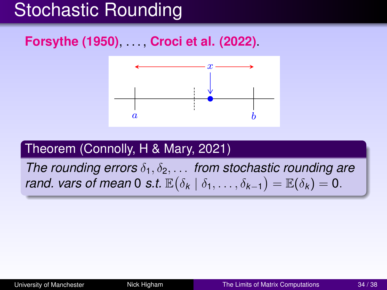# Stochastic Rounding

### **Forsythe (1950)**, . . . , **Croci et al. (2022)**.



### Theorem (Connolly, H & Mary, 2021)

*The rounding errors*  $\delta_1, \delta_2, \ldots$  *from stochastic rounding are rand. vars of mean* 0 *s.t.*  $\mathbb{E}(\delta_k | \delta_1, \ldots, \delta_{k-1}) = \mathbb{E}(\delta_k) = 0$ .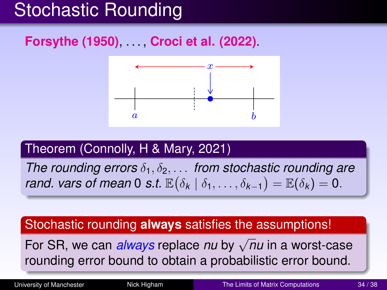# Stochastic Rounding

### **Forsythe (1950)**, . . . , **Croci et al. (2022)**.



### Theorem (Connolly, H & Mary, 2021)

*The rounding errors*  $\delta_1, \delta_2, \ldots$  *from stochastic rounding are rand. vars of mean* 0 *s.t.*  $\mathbb{E}(\delta_k | \delta_1, \ldots, \delta_{k-1}) = \mathbb{E}(\delta_k) = 0$ .

#### Stochastic rounding **always** satisfies the assumptions!

**For SR, we can** *always* **replace** *nu* **by √***nu* **in a worst-case** rounding error bound to obtain a probabilistic error bound.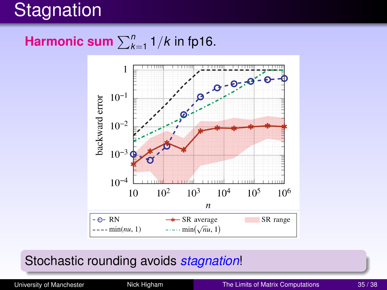# **Stagnation**

### **Harmonic sum**  $\sum_{k=1}^{n} 1/k$  in fp16.



### Stochastic rounding avoids *stagnation*!

[University of Manchester](#page-0-0) Nick Higham [The Limits of Matrix Computations](#page-0-1) 35/38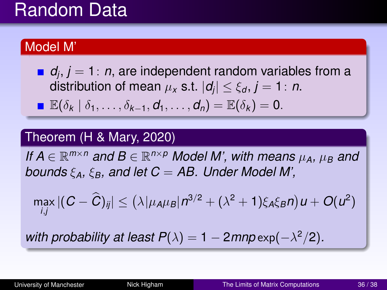## Random Data

#### Model M'

*dj* , *j* = 1: *n*, are independent random variables from a distribution of mean  $\mu_\mathsf{x}$  s.t.  $|\textit{d}_j| \leq \xi_\mathsf{d}, j=1 \colon n.$ **■**  $\mathbb{E}(\delta_k | \delta_1, \ldots, \delta_{k-1}, \mathbf{d}_1, \ldots, \mathbf{d}_n) = \mathbb{E}(\delta_k) = 0.$ 

#### Theorem (H & Mary, 2020)

*If*  $A \in \mathbb{R}^{m \times n}$  and  $B \in \mathbb{R}^{n \times p}$  Model M', with means  $\mu_A$ ,  $\mu_B$  and *bounds* ξ*A,* ξ*B, and let C* = *AB. Under Model M',*

$$
\max_{i,j}|(C-\widehat{C})_{ij}|\leq \left(\lambda|\mu_A\mu_B|\,n^{3/2}+(\lambda^2+1)\xi_A\xi_Bn\right)u+O(u^2)
$$

*with probability at least*  $P(\lambda) = 1 - 2m p \exp(-\lambda^2/2)$ *.*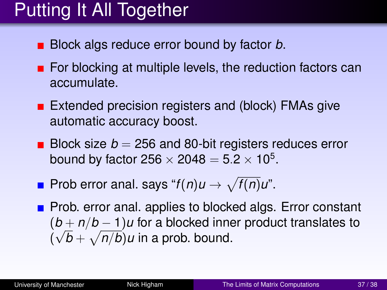# Putting It All Together

- Block algs reduce error bound by factor *b*.
- $\blacksquare$  For blocking at multiple levels, the reduction factors can accumulate.
- Extended precision registers and (block) FMAs give automatic accuracy boost.
- Block size  $b = 256$  and 80-bit registers reduces error bound by factor 256  $\times$  2048  $=$  5.2  $\times$  10<sup>5</sup>.
- Prob error anal. says " $f(n)u \to \sqrt{f(n)}u$ ".
- Prob. error anal. applies to blocked algs. Error constant (*b* + *n*/*b* − 1)*u* for a blocked inner product translates to √  $(\sqrt{b} + \sqrt{n/b})u$  in a prob. bound.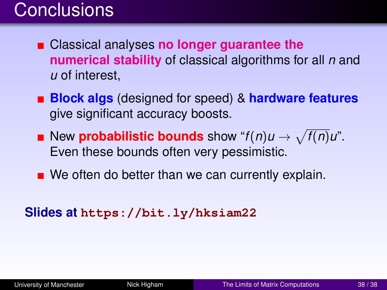## **Conclusions**

- Classical analyses **no longer guarantee the numerical stability** of classical algorithms for all *n* and *u* of interest,
- **Block algs** (designed for speed) & **hardware features** give significant accuracy boosts.
- New **probabilistic bounds** show " $f(n)u \to \sqrt{f(n)}u$ ". Even these bounds often very pessimistic.
- $\blacksquare$  We often do better than we can currently explain.

#### **Slides at <https://bit.ly/hksiam22>**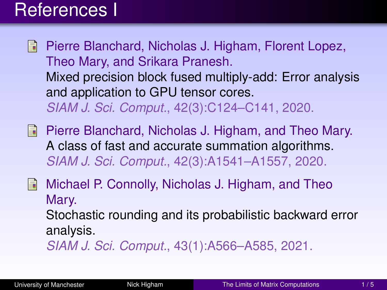## References I

- Pierre Blanchard, Nicholas J. Higham, Florent Lopez, Theo Mary, and Srikara Pranesh. [Mixed precision block fused multiply-add: Error analysis](https://doi.org/10.1137/19M1289546) [and application to GPU tensor cores.](https://doi.org/10.1137/19M1289546) *SIAM J. Sci. Comput.*, 42(3):C124–C141, 2020.
- **Pierre Blanchard, Nicholas J. Higham, and Theo Mary.** [A class of fast and accurate summation algorithms.](https://doi.org/10.1137/19M1257780) *SIAM J. Sci. Comput.*, 42(3):A1541–A1557, 2020.
- 螶 Michael P. Connolly, Nicholas J. Higham, and Theo Mary.

[Stochastic rounding and its probabilistic backward error](https://doi.org/10.1137/20m1334796) [analysis.](https://doi.org/10.1137/20m1334796)

*SIAM J. Sci. Comput.*, 43(1):A566–A585, 2021.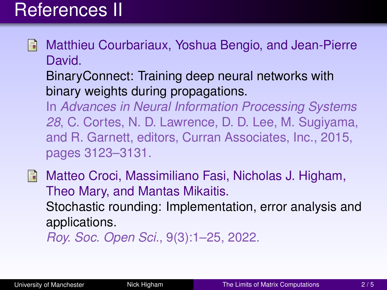## References II

- Matthieu Courbariaux, Yoshua Bengio, and Jean-Pierre Ħ David.
	- [BinaryConnect: Training deep neural networks with](http://papers.nips.cc/paper/5647-binaryconnect-training-deep-neural-networks-with-binary-weights-during-propagations.pdf) [binary weights during propagations.](http://papers.nips.cc/paper/5647-binaryconnect-training-deep-neural-networks-with-binary-weights-during-propagations.pdf)

In *Advances in Neural Information Processing Systems 28*, C. Cortes, N. D. Lawrence, D. D. Lee, M. Sugiyama, and R. Garnett, editors, Curran Associates, Inc., 2015, pages 3123–3131.

**Matteo Croci, Massimiliano Fasi, Nicholas J. Higham,** Theo Mary, and Mantas Mikaitis. [Stochastic rounding: Implementation, error analysis and](https://doi.org/10.1098/rsos.211631) [applications.](https://doi.org/10.1098/rsos.211631)

*Roy. Soc. Open Sci.*, 9(3):1–25, 2022.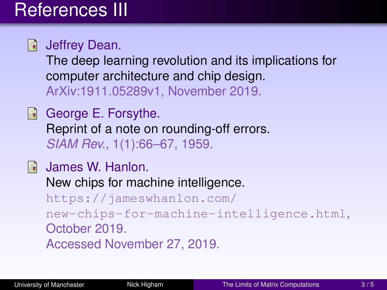# References III

**Jeffrey Dean.** 

[The deep learning revolution and its implications for](https://arxiv.org/abs/1911.05289) [computer architecture and chip design.](https://arxiv.org/abs/1911.05289) ArXiv:1911.05289v1, November 2019.

George E. Forsythe. [Reprint of a note on rounding-off errors.](https://doi.org/10.1137/1001011) *SIAM Rev.*, 1(1):66–67, 1959.

**James W. Hanlon.** New chips for machine intelligence. [https://jameswhanlon.com/](https://jameswhanlon.com/new-chips-for-machine-intelligence.html) [new-chips-for-machine-intelligence.html](https://jameswhanlon.com/new-chips-for-machine-intelligence.html), October 2019. Accessed November 27, 2019.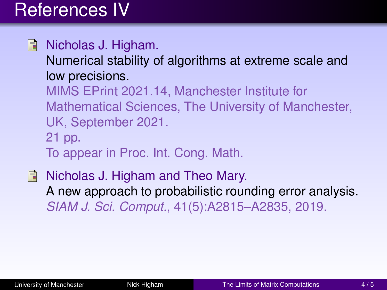# References IV

Nicholas J. Higham. F.

[Numerical stability of algorithms at extreme scale and](http://eprints.maths.manchester.ac.uk/2833/) [low precisions.](http://eprints.maths.manchester.ac.uk/2833/)

MIMS EPrint 2021.14, Manchester Institute for Mathematical Sciences, The University of Manchester, UK, September 2021. 21 pp.

To appear in Proc. Int. Cong. Math.

**Nicholas J. Higham and Theo Mary.** [A new approach to probabilistic rounding error analysis.](https://doi.org/10.1137/18M1226312) *SIAM J. Sci. Comput.*, 41(5):A2815–A2835, 2019.